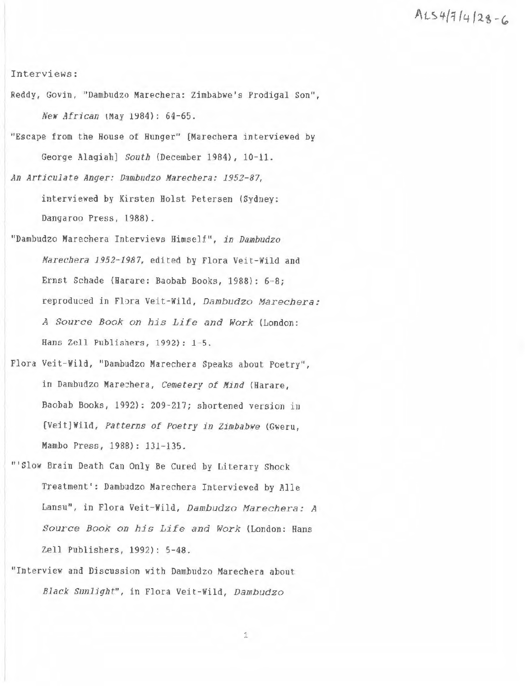*At.:S, 4-{1* **/4 /1i -G,** 

Interviews:

- Reddy, Govin, "Dambudzo Marechera: Zimbabwe's Prodigal Son", New African (May 1984): 64-65.
- "Escape from the House of Hunger" [Marechera interviewed by George Alagiah] South (December 1984), 10-11.
- An Articulate Anger: Dambudzo Marechera: 1952-87, interviewed by Kirsten Holst Petersen (Sydney: Dangaroo Press, 1988}.
- "Dambudzo Marechera Interviews Himself", in Dambudzo Marechera 1952-1987, edited by Flora Veit-Wild and Ernst Schade (Harare: Baobab Books, 1988): 6-8; reproduced in Flora Veit-Wild, Dambudzo Marechera: A Source Book on his Life and Work (London: Hans Zell Publishers, 1992): 1-5 .
- Flora Veit-Wild, "Dambudzo Marecbera Speaks about Poetry", in Dambudzo Marechera, Cemetery of Mind {Harare, Baobab Books, 1992}: 209-217; shortened version in [Veit]Wild, Patterns of Poetry in Zimbabwe (Gweru, Mambo Press, 1988): 131-135.
- '''Slow Brain Death Can Only Be Cured by Literary Shock Treatment': Dambudzo Marechera Interviewed by Alle Lansu", in Flora Veit-Wild, Dambudzo Marechera: A Source Book on his Life and Work (London: Hans Zell Publishers, 1992): 5-48.
- "Interview and Djscussion with Dambudzo Marechera about Black Sunlight", in Flora Veit-Wild, Dambudzo

1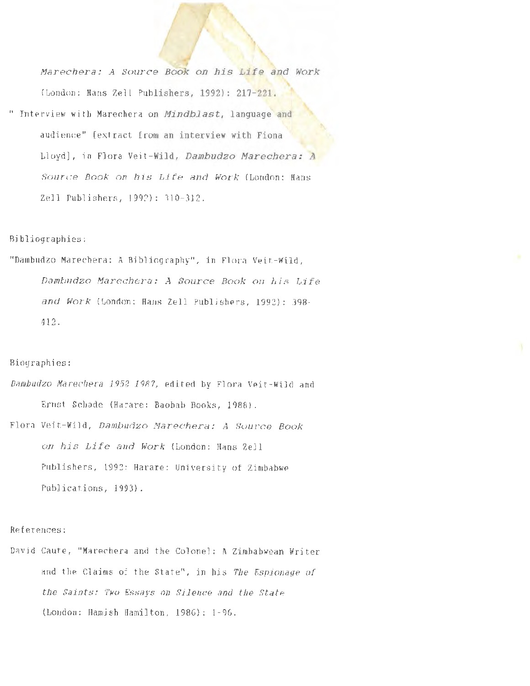Marechera: A Source Book on his Life and Work (London: Hans Zell Publishers, 1992): 217-221. " Interview **with** Marechera on Mindblast, language **and**  audience" [extract from an interview with Fiona Lloyd], in Flora Veit-Wild, Dambudzo Marechera: **<sup>A</sup>** Source Book on his Life and Work (London: Hans Zell Publishers, 1992): 310-312.

## Bibliographies:

"Dambudzo Marechera: A Bibliography", in Flora Veit- Wild, Dambudzo Marechera: A Source Book on his Life and Work (London: Hans Zell Publishers, 1992): 398- 412.

## Biographies:

*Damhudzo Marechera 1952-1987,* edited by Flora Veit- Wild and Ernst Schade (Harare: Baobab Books, 1988). Flora Veit-Wild, Dambudzo Marechera: A Source Book

on his Life and Work (London: Hans Zell Publishers, 1992; Harare: University of Zimbabwe Publications, 1993).

## References:

David Caute, "Marechera and the Colonel: A Zimbabwean Writer and the Claims of the State", in bis *The Espionage of the Saints: Two Essays on Silence and the State*  (London: Hamish Hamilton, 1986): 1- 96.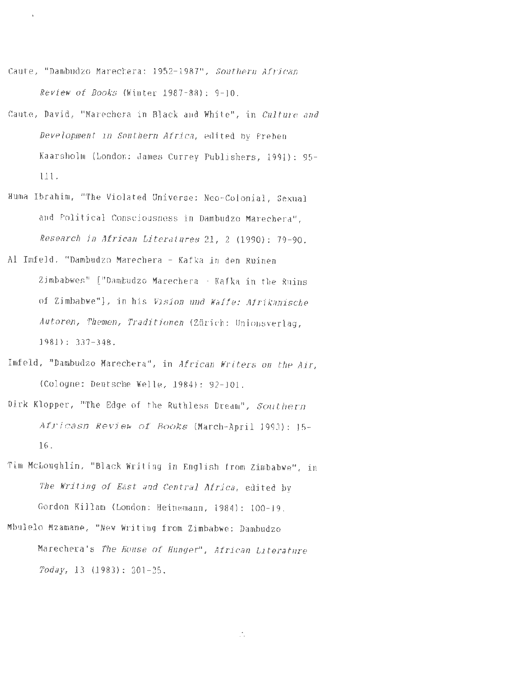Caute, "Dambudzo Marechera: 1952-1987", Southern African Review of Books (Winter 1987-88}: 9-10.

 $\bar{\mathbf{k}}$ 

- Caute, David, "Marechera in Black and White", in Culture and Development in Southern Africa, edited by Preben Kaarsholm (London: James Currey Publishers, 1991}: 95- 111.
- Huma Ibrahim, "The Violated Universe: Nee-Colonial, Sexual and Political Consciousness in Dambudzo Marechera", Research in African Literatures 21, 2 (1990}: 79-90.
- Al Imfeld, ''Dambudzo Marechera Kafka in den Ruinen Zimbabwes" ("Dambudzo Marechera - Kafka in the Ruins of Zimbabwe"), in his Vision und Watte: Afrikanische Autoren, Themen, Traditionen (Zürich: Unionsverlag, 1981}: 337-348.
- Imfeld, "Dambudzo Marechera", in African Writers on the Air, (Cologne: Deutsche Welle, 1984}: 92-101.
- Dirk Klopper, "The Edge of the Ruthless Dream", Southern Afri casn Review of Books (March-April 1993): 15- 16.
- Tim McLaughlin, "Black Writing in English from Zimbabwe'', in The Writing of East and Central Africa, edited by Gordon Killam (London: Heinemann, 1984) : 100-19.
- Mbulelo Mzamane, **"New** Writing from Zimbabwe: Dambudzo Marechera's The House of Hunger", African Literature Today, 13 (1983): 201-25.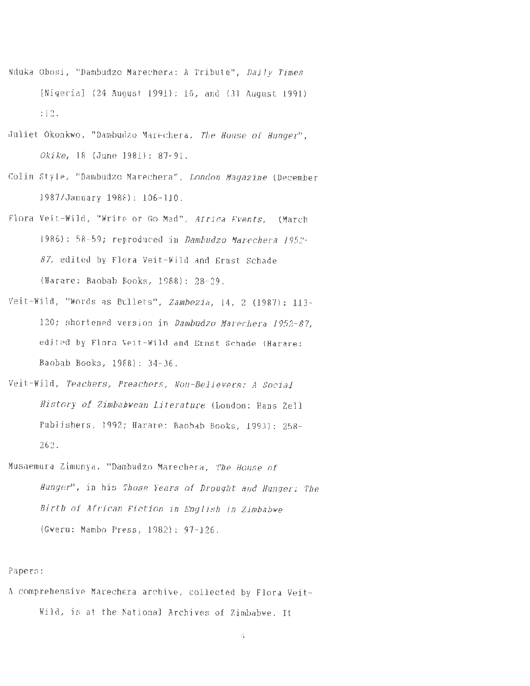- Nduka Obosi, "Dambudzo Marechera: A Tribute", Daily Times (Nigeria) (24 August 1991): 16, and (31 August 1991) :12.
- Juliet Okonkwo, "Dambudzo Marechera, The House of Hunger", Okike, 18 (June 1981): 87-91.
- Colin Style, "Dambudzo Marechera", London Magazine (December 1987/January 1988): 106-110.
- Flora Veit-Wild, "Write or Go Mad", Africa Events, (March 1986): 58-59; reproduced in Damhudzo Marechera *1.952- 87,* edited by Flora Veit-Wild and Ernst Schade (Harare: Baobab Books, 1988): 28-29.
- Veit-Wild, "Words as Bullets", Zamhezia, 14, 2 (1987): 113- 120; shortened version in Dambudzo Marechera *1952-87,*  edited by Flora Veit-Wild and Ernst Schade {Harare: Baobab Books, 1988): 34-36.
- Veit-Wild, Teachers, Preachers, Non-Believers: A Social History of Zimbabwean Literature (London: Hans Zell Publishers, 1992; Harare: Baobab Books, 1993): 258- 262.
- Musaemura Zimunya, "Dambudzo Marechera, The House of Hunger', in his Those Years of Drought and Hunger: The Birth of African Fiction in English in Zimbabwe (Gweru: Mambo Press, 1982): 97-126.

## Papers:

A comprehensive Marechera archive, collected by Flora Veit-Wild, is at the National Archjves of Zimbabwe. It

4